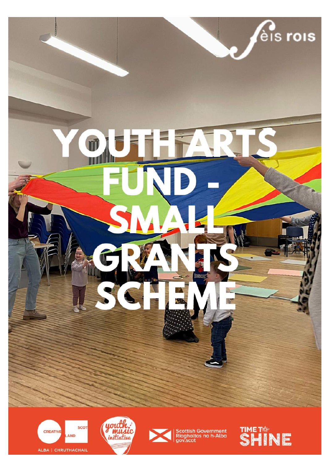

ALBA | CHRUTHACHAIL





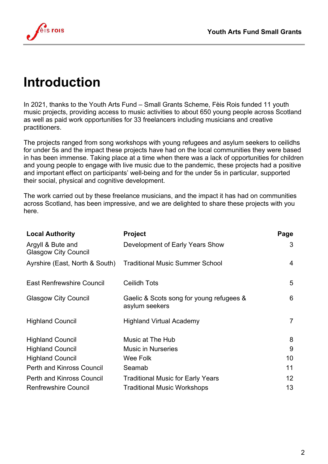

#### **Introduction**

In 2021, thanks to the Youth Arts Fund – Small Grants Scheme, Fèis Rois funded 11 youth music projects, providing access to music activities to about 650 young people across Scotland as well as paid work opportunities for 33 freelancers including musicians and creative practitioners.

The projects ranged from song workshops with young refugees and asylum seekers to ceilidhs for under 5s and the impact these projects have had on the local communities they were based in has been immense. Taking place at a time when there was a lack of opportunities for children and young people to engage with live music due to the pandemic, these projects had a positive and important effect on participants' well-being and for the under 5s in particular, supported their social, physical and cognitive development.

The work carried out by these freelance musicians, and the impact it has had on communities across Scotland, has been impressive, and we are delighted to share these projects with you here.

| <b>Local Authority</b>                           | <b>Project</b>                                             | Page              |
|--------------------------------------------------|------------------------------------------------------------|-------------------|
| Argyll & Bute and<br><b>Glasgow City Council</b> | Development of Early Years Show                            | 3                 |
| Ayrshire (East, North & South)                   | <b>Traditional Music Summer School</b>                     | 4                 |
| <b>East Renfrewshire Council</b>                 | <b>Ceilidh Tots</b>                                        | 5                 |
| <b>Glasgow City Council</b>                      | Gaelic & Scots song for young refugees &<br>asylum seekers | 6                 |
| <b>Highland Council</b>                          | <b>Highland Virtual Academy</b>                            | $\overline{7}$    |
| <b>Highland Council</b>                          | Music at The Hub                                           | 8                 |
| <b>Highland Council</b>                          | <b>Music in Nurseries</b>                                  | 9                 |
| <b>Highland Council</b>                          | Wee Folk                                                   | 10                |
| <b>Perth and Kinross Council</b>                 | Seamab                                                     | 11                |
| <b>Perth and Kinross Council</b>                 | <b>Traditional Music for Early Years</b>                   | $12 \overline{ }$ |
| <b>Renfrewshire Council</b>                      | <b>Traditional Music Workshops</b>                         | 13                |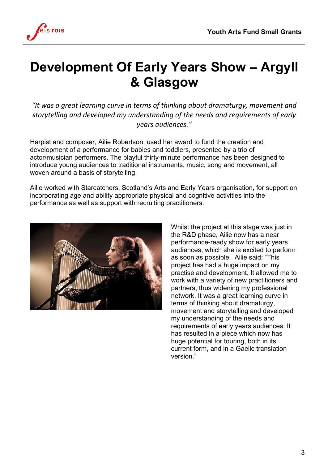

### **Development Of Early Years Show – Argyll & Glasgow**

"It was a great learning curve in terms of thinking about dramaturgy, movement and storytelling and developed my understanding of the needs and requirements of early *years audiences."*

Harpist and composer, Ailie Robertson, used her award to fund the creation and development of a performance for babies and toddlers, presented by a trio of actor/musician performers. The playful thirty-minute performance has been designed to introduce young audiences to traditional instruments, music, song and movement, all woven around a basis of storytelling.

Ailie worked with Starcatchers, Scotland's Arts and Early Years organisation, for support on incorporating age and ability appropriate physical and cognitive activities into the performance as well as support with recruiting practitioners.



Whilst the project at this stage was just in the R&D phase, Ailie now has a near performance-ready show for early years audiences, which she is excited to perform as soon as possible. Ailie said: "This project has had a huge impact on my practise and development. It allowed me to work with a variety of new practitioners and partners, thus widening my professional network. It was a great learning curve in terms of thinking about dramaturgy, movement and storytelling and developed my understanding of the needs and requirements of early years audiences. It has resulted in a piece which now has huge potential for touring, both in its current form, and in a Gaelic translation version."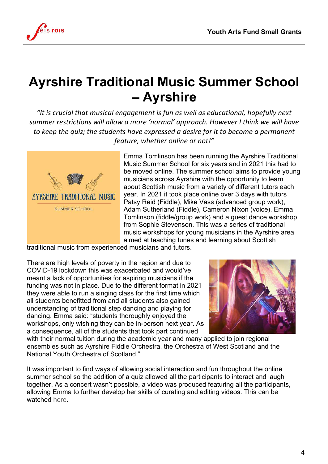

# **Ayrshire Traditional Music Summer School – Ayrshire**

"It is crucial that musical engagement is fun as well as educational, hopefully next summer restrictions will allow a more 'normal' approach. However *I* think we will have *to* keep the quiz; the students have expressed a desire for it to become a permanent feature, whether online or not!"



Emma Tomlinson has been running the Ayrshire Traditional Music Summer School for six years and in 2021 this had to be moved online. The summer school aims to provide young musicians across Ayrshire with the opportunity to learn about Scottish music from a variety of different tutors each year. In 2021 it took place online over 3 days with tutors Patsy Reid (Fiddle), Mike Vass (advanced group work), Adam Sutherland (Fiddle), Cameron Nixon (voice), Emma Tomlinson (fiddle/group work) and a guest dance workshop from Sophie Stevenson. This was a series of traditional music workshops for young musicians in the Ayrshire area aimed at teaching tunes and learning about Scottish

traditional music from experienced musicians and tutors.

There are high levels of poverty in the region and due to COVID-19 lockdown this was exacerbated and would've meant a lack of opportunities for aspiring musicians if the funding was not in place. Due to the different format in 2021 they were able to run a singing class for the first time which all students benefitted from and all students also gained understanding of traditional step dancing and playing for dancing. Emma said: "students thoroughly enjoyed the workshops, only wishing they can be in-person next year. As a consequence, all of the students that took part continued



with their normal tuition during the academic year and many applied to join regional ensembles such as Ayrshire Fiddle Orchestra, the Orchestra of West Scotland and the National Youth Orchestra of Scotland."

It was important to find ways of allowing social interaction and fun throughout the online summer school so the addition of a quiz allowed all the participants to interact and laugh together. As a concert wasn't possible, a video was produced featuring all the participants, allowing Emma to further develop her skills of curating and editing videos. This can be watched here.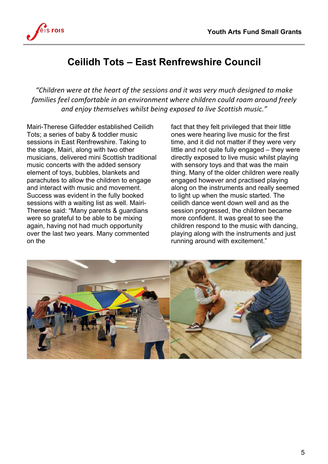

#### **Ceilidh Tots – East Renfrewshire Council**

*"Children were at the heart of the sessions and it was very much designed to make*  families feel comfortable in an environment where children could roam around freely and enjoy themselves whilst being exposed to live Scottish music."

Mairi-Therese Gilfedder established Ceilidh Tots; a series of baby & toddler music sessions in East Renfrewshire. Taking to the stage, Mairi, along with two other musicians, delivered mini Scottish traditional music concerts with the added sensory element of toys, bubbles, blankets and parachutes to allow the children to engage and interact with music and movement. Success was evident in the fully booked sessions with a waiting list as well. Mairi-Therese said: "Many parents & guardians were so grateful to be able to be mixing again, having not had much opportunity over the last two years. Many commented on the

fact that they felt privileged that their little ones were hearing live music for the first time, and it did not matter if they were very little and not quite fully engaged – they were directly exposed to live music whilst playing with sensory toys and that was the main thing. Many of the older children were really engaged however and practised playing along on the instruments and really seemed to light up when the music started. The ceilidh dance went down well and as the session progressed, the children became more confident. It was great to see the children respond to the music with dancing, playing along with the instruments and just running around with excitement."

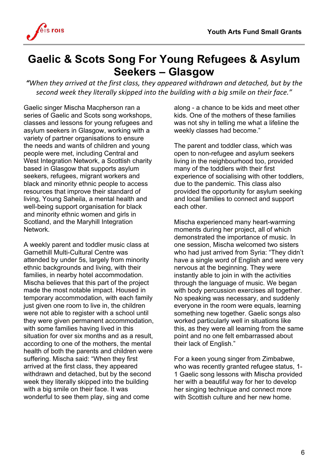

#### **Gaelic & Scots Song For Young Refugees & Asylum Seekers – Glasgow**

"When they arrived at the first class, they appeared withdrawn and detached, but by the second week they literally skipped into the building with a big smile on their face."

Gaelic singer Mischa Macpherson ran a series of Gaelic and Scots song workshops, classes and lessons for young refugees and asylum seekers in Glasgow, working with a variety of partner organisations to ensure the needs and wants of children and young people were met, including Central and West Integration Network, a Scottish charity based in Glasgow that supports asylum seekers, refugees, migrant workers and black and minority ethnic people to access resources that improve their standard of living, Young Saheila, a mental health and well-being support organisation for black and minority ethnic women and girls in Scotland, and the Maryhill Integration Network.

A weekly parent and toddler music class at Garnethill Multi-Cultural Centre was attended by under 5s, largely from minority ethnic backgrounds and living, with their families, in nearby hotel accommodation. Mischa believes that this part of the project made the most notable impact. Housed in temporary accommodation, with each family just given one room to live in, the children were not able to register with a school until they were given permanent accommodation, with some families having lived in this situation for over six months and as a result, according to one of the mothers, the mental health of both the parents and children were suffering. Mischa said: "When they first arrived at the first class, they appeared withdrawn and detached, but by the second week they literally skipped into the building with a big smile on their face. It was wonderful to see them play, sing and come

along - a chance to be kids and meet other kids. One of the mothers of these families was not shy in telling me what a lifeline the weekly classes had become."

The parent and toddler class, which was open to non-refugee and asylum seekers living in the neighbourhood too, provided many of the toddlers with their first experience of socialising with other toddlers, due to the pandemic. This class also provided the opportunity for asylum seeking and local families to connect and support each other.

Mischa experienced many heart-warming moments during her project, all of which demonstrated the importance of music. In one session, Mischa welcomed two sisters who had just arrived from Syria: "They didn't have a single word of English and were very nervous at the beginning. They were instantly able to join in with the activities through the language of music. We began with body percussion exercises all together. No speaking was necessary, and suddenly everyone in the room were equals, learning something new together. Gaelic songs also worked particularly well in situations like this, as they were all learning from the same point and no one felt embarrassed about their lack of English."

For a keen young singer from Zimbabwe, who was recently granted refugee status, 1- 1 Gaelic song lessons with Mischa provided her with a beautiful way for her to develop her singing technique and connect more with Scottish culture and her new home.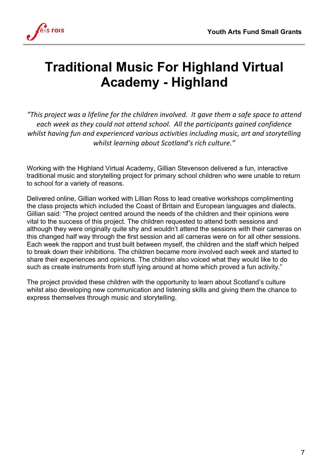

## **Traditional Music For Highland Virtual Academy - Highland**

"This project was a lifeline for the children involved. It gave them a safe space to attend each week as they could not attend school. All the participants agined confidence whilst having fun and experienced various activities including music, art and storytelling whilst learning about Scotland's rich culture."

Working with the Highland Virtual Academy, Gillian Stevenson delivered a fun, interactive traditional music and storytelling project for primary school children who were unable to return to school for a variety of reasons.

Delivered online, Gillian worked with Lillian Ross to lead creative workshops complimenting the class projects which included the Coast of Britain and European languages and dialects. Gillian said: "The project centred around the needs of the children and their opinions were vital to the success of this project. The children requested to attend both sessions and although they were originally quite shy and wouldn't attend the sessions with their cameras on this changed half way through the first session and all cameras were on for all other sessions. Each week the rapport and trust built between myself, the children and the staff which helped to break down their inhibitions. The children became more involved each week and started to share their experiences and opinions. The children also voiced what they would like to do such as create instruments from stuff lying around at home which proved a fun activity."

The project provided these children with the opportunity to learn about Scotland's culture whilst also developing new communication and listening skills and giving them the chance to express themselves through music and storytelling.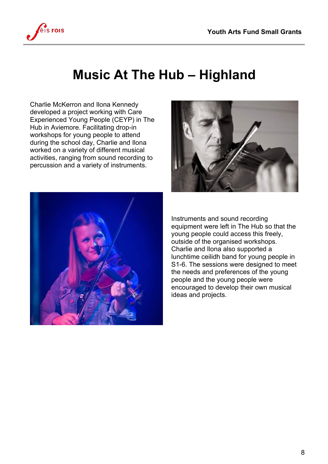

#### **Music At The Hub – Highland**

Charlie McKerron and Ilona Kennedy developed a project working with Care Experienced Young People (CEYP) in The Hub in Aviemore. Facilitating drop-in workshops for young people to attend during the school day, Charlie and Ilona worked on a variety of different musical activities, ranging from sound recording to percussion and a variety of instruments.





Instruments and sound recording equipment were left in The Hub so that the young people could access this freely, outside of the organised workshops. Charlie and Ilona also supported a lunchtime ceilidh band for young people in S1-6. The sessions were designed to meet the needs and preferences of the young people and the young people were encouraged to develop their own musical ideas and projects.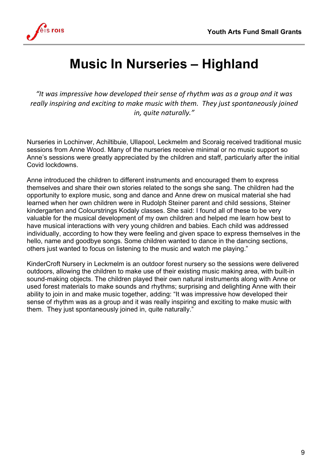

## **Music In Nurseries – Highland**

"It was impressive how developed their sense of rhythm was as a group and it was really inspiring and exciting to make music with them. They just spontaneously joined *in, quite naturally."*

Nurseries in Lochinver, Achiltibuie, Ullapool, Leckmelm and Scoraig received traditional music sessions from Anne Wood. Many of the nurseries receive minimal or no music support so Anne's sessions were greatly appreciated by the children and staff, particularly after the initial Covid lockdowns.

Anne introduced the children to different instruments and encouraged them to express themselves and share their own stories related to the songs she sang. The children had the opportunity to explore music, song and dance and Anne drew on musical material she had learned when her own children were in Rudolph Steiner parent and child sessions, Steiner kindergarten and Colourstrings Kodaly classes. She said: I found all of these to be very valuable for the musical development of my own children and helped me learn how best to have musical interactions with very young children and babies. Each child was addressed individually, according to how they were feeling and given space to express themselves in the hello, name and goodbye songs. Some children wanted to dance in the dancing sections, others just wanted to focus on listening to the music and watch me playing."

KinderCroft Nursery in Leckmelm is an outdoor forest nursery so the sessions were delivered outdoors, allowing the children to make use of their existing music making area, with built-in sound-making objects. The children played their own natural instruments along with Anne or used forest materials to make sounds and rhythms; surprising and delighting Anne with their ability to join in and make music together, adding: "It was impressive how developed their sense of rhythm was as a group and it was really inspiring and exciting to make music with them. They just spontaneously joined in, quite naturally."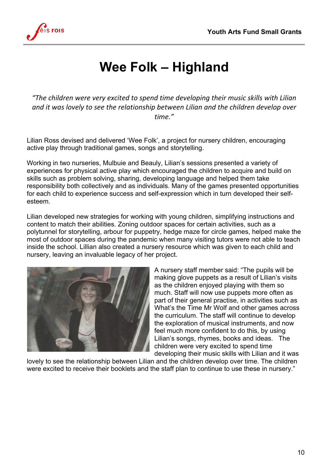

# **Wee Folk – Highland**

"The children were very excited to spend time developing their music skills with Lilian and it was lovely to see the relationship between Lilian and the children develop over *time."*

Lilian Ross devised and delivered 'Wee Folk', a project for nursery children, encouraging active play through traditional games, songs and storytelling.

Working in two nurseries, Mulbuie and Beauly, Lilian's sessions presented a variety of experiences for physical active play which encouraged the children to acquire and build on skills such as problem solving, sharing, developing language and helped them take responsibility both collectively and as individuals. Many of the games presented opportunities for each child to experience success and self-expression which in turn developed their selfesteem.

Lilian developed new strategies for working with young children, simplifying instructions and content to match their abilities. Zoning outdoor spaces for certain activities, such as a polytunnel for storytelling, arbour for puppetry, hedge maze for circle games, helped make the most of outdoor spaces during the pandemic when many visiting tutors were not able to teach inside the school. Lillian also created a nursery resource which was given to each child and nursery, leaving an invaluable legacy of her project.



A nursery staff member said: "The pupils will be making glove puppets as a result of Lilian's visits as the children enjoyed playing with them so much. Staff will now use puppets more often as part of their general practise, in activities such as What's the Time Mr Wolf and other games across the curriculum. The staff will continue to develop the exploration of musical instruments, and now feel much more confident to do this, by using Lilian's songs, rhymes, books and ideas. The children were very excited to spend time developing their music skills with Lilian and it was

lovely to see the relationship between Lilian and the children develop over time. The children were excited to receive their booklets and the staff plan to continue to use these in nursery."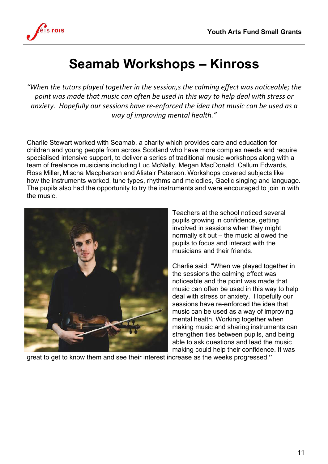

# **Seamab Workshops – Kinross**

"When the tutors played together in the session, *s* the calming effect was noticeable; the point was made that music can often be used in this way to help deal with stress or anxiety. Hopefully our sessions have re-enforced the idea that music can be used as a *way of improving mental health."*

Charlie Stewart worked with Seamab, a charity which provides care and education for children and young people from across Scotland who have more complex needs and require specialised intensive support, to deliver a series of traditional music workshops along with a team of freelance musicians including Luc McNally, Megan MacDonald, Callum Edwards, Ross Miller, Mischa Macpherson and Alistair Paterson. Workshops covered subjects like how the instruments worked, tune types, rhythms and melodies, Gaelic singing and language. The pupils also had the opportunity to try the instruments and were encouraged to join in with the music.



Teachers at the school noticed several pupils growing in confidence, getting involved in sessions when they might normally sit out – the music allowed the pupils to focus and interact with the musicians and their friends.

Charlie said: "When we played together in the sessions the calming effect was noticeable and the point was made that music can often be used in this way to help deal with stress or anxiety. Hopefully our sessions have re-enforced the idea that music can be used as a way of improving mental health. Working together when making music and sharing instruments can strengthen ties between pupils, and being able to ask questions and lead the music making could help their confidence. It was

great to get to know them and see their interest increase as the weeks progressed."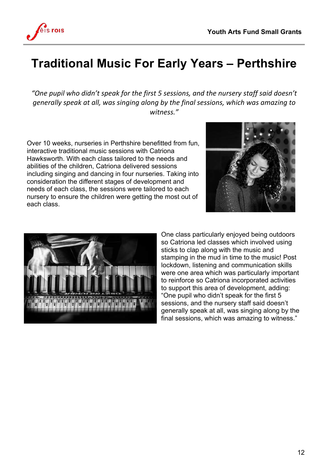

#### **Traditional Music For Early Years – Perthshire**

"One pupil who didn't speak for the first 5 sessions, and the nursery staff said doesn't *generally speak at all, was singing along by the final sessions, which was amazing to witness."*

Over 10 weeks, nurseries in Perthshire benefitted from fun, interactive traditional music sessions with Catriona Hawksworth. With each class tailored to the needs and abilities of the children, Catriona delivered sessions including singing and dancing in four nurseries. Taking into consideration the different stages of development and needs of each class, the sessions were tailored to each nursery to ensure the children were getting the most out of each class.





One class particularly enjoyed being outdoors so Catriona led classes which involved using sticks to clap along with the music and stamping in the mud in time to the music! Post lockdown, listening and communication skills were one area which was particularly important to reinforce so Catriona incorporated activities to support this area of development, adding: "One pupil who didn't speak for the first 5 sessions, and the nursery staff said doesn't generally speak at all, was singing along by the final sessions, which was amazing to witness."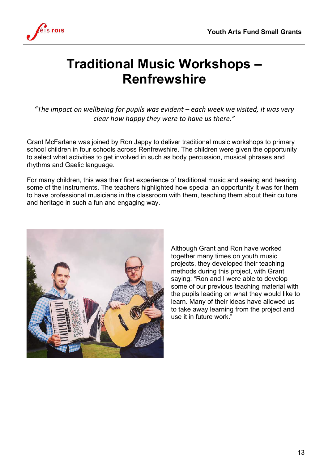

#### **Traditional Music Workshops – Renfrewshire**

"The impact on wellbeing for pupils was evident – each week we visited, it was very *clear how happy they were to have us there."* 

Grant McFarlane was joined by Ron Jappy to deliver traditional music workshops to primary school children in four schools across Renfrewshire. The children were given the opportunity to select what activities to get involved in such as body percussion, musical phrases and rhythms and Gaelic language.

For many children, this was their first experience of traditional music and seeing and hearing some of the instruments. The teachers highlighted how special an opportunity it was for them to have professional musicians in the classroom with them, teaching them about their culture and heritage in such a fun and engaging way.



Although Grant and Ron have worked together many times on youth music projects, they developed their teaching methods during this project, with Grant saying: "Ron and I were able to develop some of our previous teaching material with the pupils leading on what they would like to learn. Many of their ideas have allowed us to take away learning from the project and use it in future work."